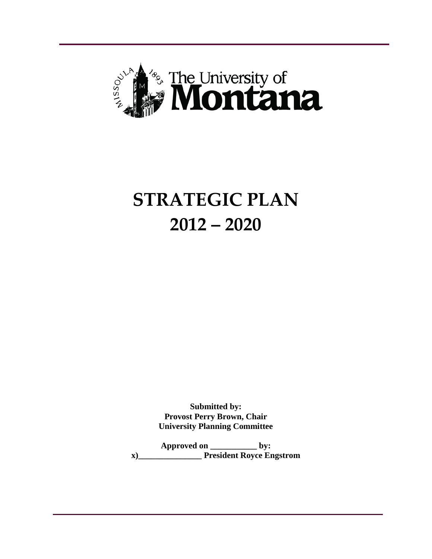

# **STRATEGIC PLAN 2012 – 2020**

**Submitted by: Provost Perry Brown, Chair University Planning Committee**

**Approved on \_\_\_\_\_\_\_\_\_\_\_ by: x)\_\_\_\_\_\_\_\_\_\_\_\_\_\_\_ President Royce Engstrom**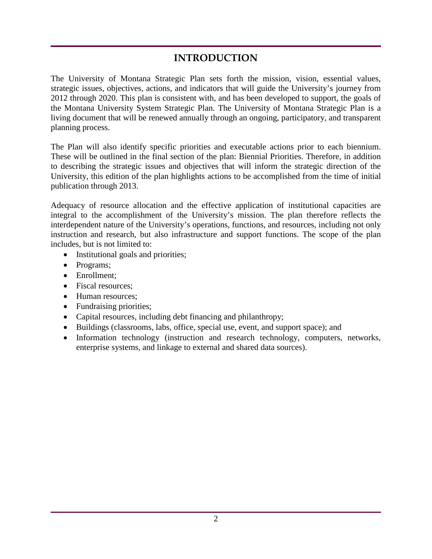# **INTRODUCTION**

The University of Montana Strategic Plan sets forth the mission, vision, essential values, strategic issues, objectives, actions, and indicators that will guide the University's journey from 2012 through 2020. This plan is consistent with, and has been developed to support, the goals of the Montana University System Strategic Plan. The University of Montana Strategic Plan is a living document that will be renewed annually through an ongoing, participatory, and transparent planning process.

The Plan will also identify specific priorities and executable actions prior to each biennium. These will be outlined in the final section of the plan: Biennial Priorities. Therefore, in addition to describing the strategic issues and objectives that will inform the strategic direction of the University, this edition of the plan highlights actions to be accomplished from the time of initial publication through 2013.

Adequacy of resource allocation and the effective application of institutional capacities are integral to the accomplishment of the University's mission. The plan therefore reflects the interdependent nature of the University's operations, functions, and resources, including not only instruction and research, but also infrastructure and support functions. The scope of the plan includes, but is not limited to:

- Institutional goals and priorities;
- Programs;
- Enrollment;
- Fiscal resources:
- Human resources:
- Fundraising priorities;
- Capital resources, including debt financing and philanthropy;
- Buildings (classrooms, labs, office, special use, event, and support space); and
- Information technology (instruction and research technology, computers, networks, enterprise systems, and linkage to external and shared data sources).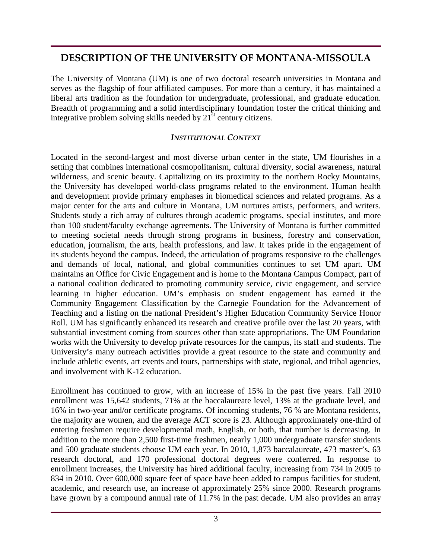# **DESCRIPTION OF THE UNIVERSITY OF MONTANA-MISSOULA**

The University of Montana (UM) is one of two doctoral research universities in Montana and serves as the flagship of four affiliated campuses. For more than a century, it has maintained a liberal arts tradition as the foundation for undergraduate, professional, and graduate education. Breadth of programming and a solid interdisciplinary foundation foster the critical thinking and integrative problem solving skills needed by  $21<sup>st</sup>$  century citizens.

#### *INSTITUTIONAL CONTEXT*

Located in the second-largest and most diverse urban center in the state, UM flourishes in a setting that combines international cosmopolitanism, cultural diversity, social awareness, natural wilderness, and scenic beauty. Capitalizing on its proximity to the northern Rocky Mountains, the University has developed world-class programs related to the environment. Human health and development provide primary emphases in biomedical sciences and related programs. As a major center for the arts and culture in Montana, UM nurtures artists, performers, and writers. Students study a rich array of cultures through academic programs, special institutes, and more than 100 student/faculty exchange agreements. The University of Montana is further committed to meeting societal needs through strong programs in business, forestry and conservation, education, journalism, the arts, health professions, and law. It takes pride in the engagement of its students beyond the campus. Indeed, the articulation of programs responsive to the challenges and demands of local, national, and global communities continues to set UM apart. UM maintains an Office for Civic Engagement and is home to the Montana Campus Compact, part of a national coalition dedicated to promoting community service, civic engagement, and service learning in higher education. UM's emphasis on student engagement has earned it the Community Engagement Classification by the Carnegie Foundation for the Advancement of Teaching and a listing on the national President's Higher Education Community Service Honor Roll. UM has significantly enhanced its research and creative profile over the last 20 years, with substantial investment coming from sources other than state appropriations. The UM Foundation works with the University to develop private resources for the campus, its staff and students. The University's many outreach activities provide a great resource to the state and community and include athletic events, art events and tours, partnerships with state, regional, and tribal agencies, and involvement with K-12 education.

Enrollment has continued to grow, with an increase of 15% in the past five years. Fall 2010 enrollment was 15,642 students, 71% at the baccalaureate level, 13% at the graduate level, and 16% in two-year and/or certificate programs. Of incoming students, 76 % are Montana residents, the majority are women, and the average ACT score is 23. Although approximately one-third of entering freshmen require developmental math, English, or both, that number is decreasing. In addition to the more than 2,500 first-time freshmen, nearly 1,000 undergraduate transfer students and 500 graduate students choose UM each year. In 2010, 1,873 baccalaureate, 473 master's, 63 research doctoral, and 170 professional doctoral degrees were conferred. In response to enrollment increases, the University has hired additional faculty, increasing from 734 in 2005 to 834 in 2010. Over 600,000 square feet of space have been added to campus facilities for student, academic, and research use, an increase of approximately 25% since 2000. Research programs have grown by a compound annual rate of 11.7% in the past decade. UM also provides an array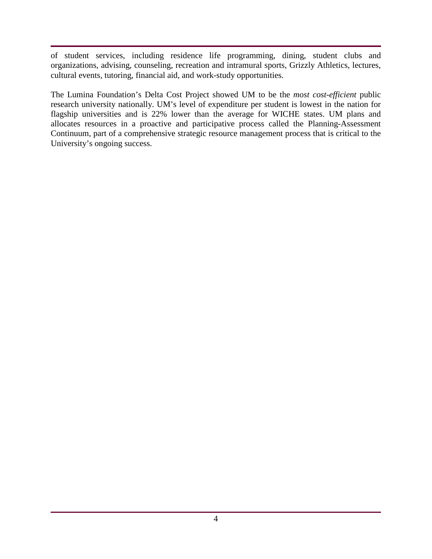of student services, including residence life programming, dining, student clubs and organizations, advising, counseling, recreation and intramural sports, Grizzly Athletics, lectures, cultural events, tutoring, financial aid, and work-study opportunities.

The Lumina Foundation's Delta Cost Project showed UM to be the *most cost-efficient* public research university nationally. UM's level of expenditure per student is lowest in the nation for flagship universities and is 22% lower than the average for WICHE states. UM plans and allocates resources in a proactive and participative process called the Planning-Assessment Continuum, part of a comprehensive strategic resource management process that is critical to the University's ongoing success.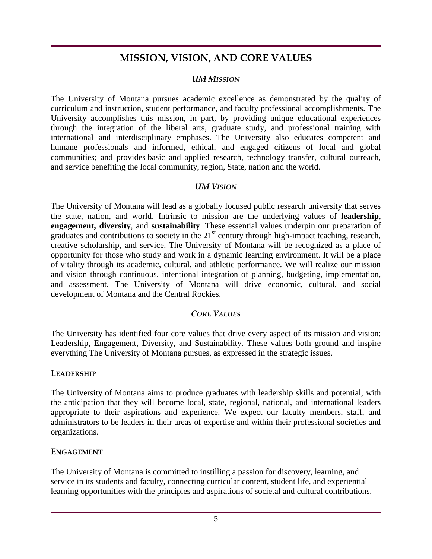# **MISSION, VISION, AND CORE VALUES**

#### *UM MISSION*

The University of Montana pursues academic excellence as demonstrated by the quality of curriculum and instruction, student performance, and faculty professional accomplishments. The University accomplishes this mission, in part, by providing unique educational experiences through the integration of the liberal arts, graduate study, and professional training with international and interdisciplinary emphases. The University also educates competent and humane professionals and informed, ethical, and engaged citizens of local and global communities; and provides basic and applied research, technology transfer, cultural outreach, and service benefiting the local community, region, State, nation and the world.

#### *UM VISION*

The University of Montana will lead as a globally focused public research university that serves the state, nation, and world. Intrinsic to mission are the underlying values of **leadership**, **engagement, diversity**, and **sustainability**. These essential values underpin our preparation of graduates and contributions to society in the  $21<sup>st</sup>$  century through high-impact teaching, research, creative scholarship, and service. The University of Montana will be recognized as a place of opportunity for those who study and work in a dynamic learning environment. It will be a place of vitality through its academic, cultural, and athletic performance. We will realize our mission and vision through continuous, intentional integration of planning, budgeting, implementation, and assessment. The University of Montana will drive economic, cultural, and social development of Montana and the Central Rockies.

#### *CORE VALUES*

The University has identified four core values that drive every aspect of its mission and vision: Leadership, Engagement, Diversity, and Sustainability. These values both ground and inspire everything The University of Montana pursues, as expressed in the strategic issues.

#### **LEADERSHIP**

The University of Montana aims to produce graduates with leadership skills and potential, with the anticipation that they will become local, state, regional, national, and international leaders appropriate to their aspirations and experience. We expect our faculty members, staff, and administrators to be leaders in their areas of expertise and within their professional societies and organizations.

#### **ENGAGEMENT**

The University of Montana is committed to instilling a passion for discovery, learning, and service in its students and faculty, connecting curricular content, student life, and experiential learning opportunities with the principles and aspirations of societal and cultural contributions.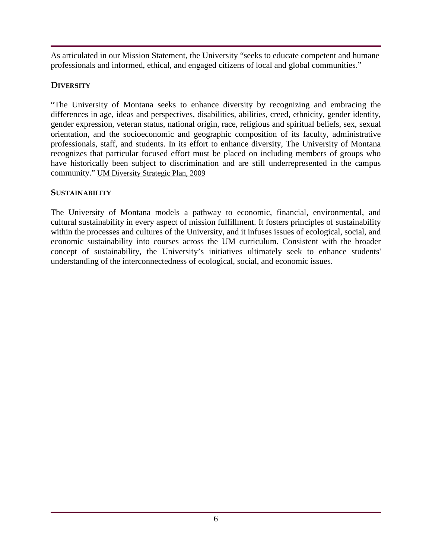As articulated in our Mission Statement, the University "seeks to educate competent and humane professionals and informed, ethical, and engaged citizens of local and global communities."

## **DIVERSITY**

"The University of Montana seeks to enhance diversity by recognizing and embracing the differences in age, ideas and perspectives, disabilities, abilities, creed, ethnicity, gender identity, gender expression, veteran status, national origin, race, religious and spiritual beliefs, sex, sexual orientation, and the socioeconomic and geographic composition of its faculty, administrative professionals, staff, and students. In its effort to enhance diversity, The University of Montana recognizes that particular focused effort must be placed on including members of groups who have historically been subject to discrimination and are still underrepresented in the campus community." UM Diversity Strategic Plan, 2009

## **SUSTAINABILITY**

The University of Montana models a pathway to economic, financial, environmental, and cultural sustainability in every aspect of mission fulfillment. It fosters principles of sustainability within the processes and cultures of the University, and it infuses issues of ecological, social, and economic sustainability into courses across the UM curriculum. Consistent with the broader concept of sustainability, the University's initiatives ultimately seek to enhance students' understanding of the interconnectedness of ecological, social, and economic issues.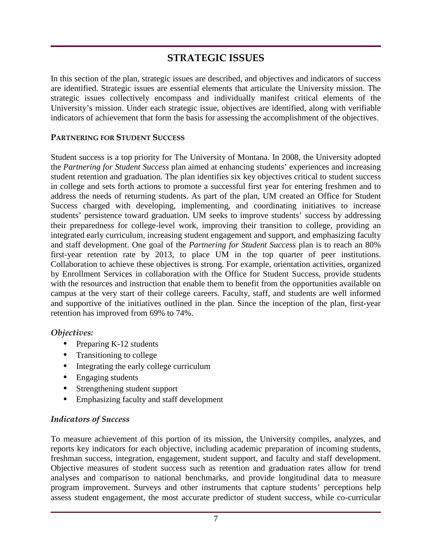# **STRATEGIC ISSUES**

In this section of the plan, strategic issues are described, and objectives and indicators of success are identified. Strategic issues are essential elements that articulate the University mission. The strategic issues collectively encompass and individually manifest critical elements of the University's mission. Under each strategic issue, objectives are identified, along with verifiable indicators of achievement that form the basis for assessing the accomplishment of the objectives.

#### **PARTNERING FOR STUDENT SUCCESS**

Student success is a top priority for The University of Montana. In 2008, the University adopted the *Partnering for Student Success* plan aimed at enhancing students' experiences and increasing student retention and graduation. The plan identifies six key objectives critical to student success in college and sets forth actions to promote a successful first year for entering freshmen and to address the needs of returning students. As part of the plan, UM created an Office for Student Success charged with developing, implementing, and coordinating initiatives to increase students' persistence toward graduation. UM seeks to improve students' success by addressing their preparedness for college-level work, improving their transition to college, providing an integrated early curriculum, increasing student engagement and support, and emphasizing faculty and staff development. One goal of the *Partnering for Student Success* plan is to reach an 80% first-year retention rate by 2013, to place UM in the top quarter of peer institutions. Collaboration to achieve these objectives is strong. For example, orientation activities, organized by Enrollment Services in collaboration with the Office for Student Success, provide students with the resources and instruction that enable them to benefit from the opportunities available on campus at the very start of their college careers. Faculty, staff, and students are well informed and supportive of the initiatives outlined in the plan. Since the inception of the plan, first-year retention has improved from 69% to 74%.

## *Objectives:*

- Preparing K-12 students
- Transitioning to college
- Integrating the early college curriculum
- Engaging students
- Strengthening student support
- Emphasizing faculty and staff development

## *Indicators of Success*

To measure achievement of this portion of its mission, the University compiles, analyzes, and reports key indicators for each objective, including academic preparation of incoming students, freshman success, integration, engagement, student support, and faculty and staff development. Objective measures of student success such as retention and graduation rates allow for trend analyses and comparison to national benchmarks, and provide longitudinal data to measure program improvement. Surveys and other instruments that capture students' perceptions help assess student engagement, the most accurate predictor of student success, while co-curricular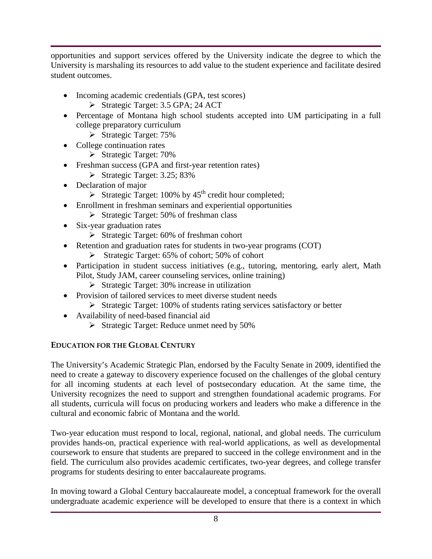opportunities and support services offered by the University indicate the degree to which the University is marshaling its resources to add value to the student experience and facilitate desired student outcomes.

- Incoming academic credentials (GPA, test scores)
	- $\triangleright$  Strategic Target: 3.5 GPA; 24 ACT
- Percentage of Montana high school students accepted into UM participating in a full college preparatory curriculum
	- $\triangleright$  Strategic Target: 75%
- College continuation rates
	- $\triangleright$  Strategic Target: 70%
- Freshman success (GPA and first-year retention rates)
	- $\triangleright$  Strategic Target: 3.25; 83%
- Declaration of major
	- Strategic Target: 100% by  $45<sup>th</sup>$  credit hour completed;
- Enrollment in freshman seminars and experiential opportunities
	- $\triangleright$  Strategic Target: 50% of freshman class
- Six-year graduation rates
	- $\triangleright$  Strategic Target: 60% of freshman cohort
- Retention and graduation rates for students in two-year programs (COT)
	- $\triangleright$  Strategic Target: 65% of cohort; 50% of cohort
- Participation in student success initiatives (e.g., tutoring, mentoring, early alert, Math Pilot, Study JAM, career counseling services, online training)
	- $\triangleright$  Strategic Target: 30% increase in utilization
- Provision of tailored services to meet diverse student needs
	- Strategic Target: 100% of students rating services satisfactory or better
- Availability of need-based financial aid
	- $\triangleright$  Strategic Target: Reduce unmet need by 50%

# **EDUCATION FOR THE GLOBAL CENTURY**

The University's Academic Strategic Plan, endorsed by the Faculty Senate in 2009, identified the need to create a gateway to discovery experience focused on the challenges of the global century for all incoming students at each level of postsecondary education. At the same time, the University recognizes the need to support and strengthen foundational academic programs. For all students, curricula will focus on producing workers and leaders who make a difference in the cultural and economic fabric of Montana and the world.

Two-year education must respond to local, regional, national, and global needs. The curriculum provides hands-on, practical experience with real-world applications, as well as developmental coursework to ensure that students are prepared to succeed in the college environment and in the field. The curriculum also provides academic certificates, two-year degrees, and college transfer programs for students desiring to enter baccalaureate programs.

In moving toward a Global Century baccalaureate model, a conceptual framework for the overall undergraduate academic experience will be developed to ensure that there is a context in which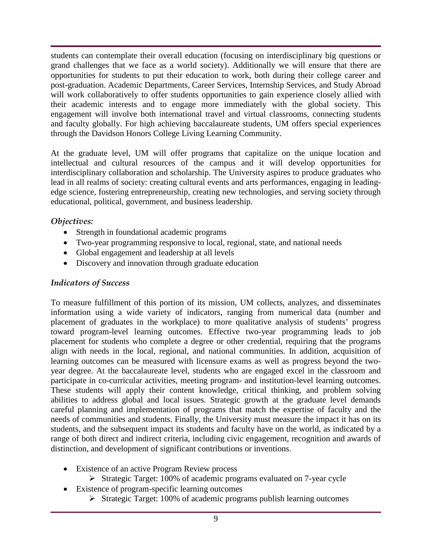students can contemplate their overall education (focusing on interdisciplinary big questions or grand challenges that we face as a world society). Additionally we will ensure that there are opportunities for students to put their education to work, both during their college career and post-graduation. Academic Departments, Career Services, Internship Services, and Study Abroad will work collaboratively to offer students opportunities to gain experience closely allied with their academic interests and to engage more immediately with the global society. This engagement will involve both international travel and virtual classrooms, connecting students and faculty globally. For high achieving baccalaureate students, UM offers special experiences through the Davidson Honors College Living Learning Community.

At the graduate level, UM will offer programs that capitalize on the unique location and intellectual and cultural resources of the campus and it will develop opportunities for interdisciplinary collaboration and scholarship. The University aspires to produce graduates who lead in all realms of society: creating cultural events and arts performances, engaging in leadingedge science, fostering entrepreneurship, creating new technologies, and serving society through educational, political, government, and business leadership.

## *Objectives:*

- Strength in foundational academic programs
- Two-year programming responsive to local, regional, state, and national needs
- Global engagement and leadership at all levels
- Discovery and innovation through graduate education

# *Indicators of Success*

To measure fulfillment of this portion of its mission, UM collects, analyzes, and disseminates information using a wide variety of indicators, ranging from numerical data (number and placement of graduates in the workplace) to more qualitative analysis of students' progress toward program-level learning outcomes. Effective two-year programming leads to job placement for students who complete a degree or other credential, requiring that the programs align with needs in the local, regional, and national communities. In addition, acquisition of learning outcomes can be measured with licensure exams as well as progress beyond the twoyear degree. At the baccalaureate level, students who are engaged excel in the classroom and participate in co-curricular activities, meeting program- and institution-level learning outcomes. These students will apply their content knowledge, critical thinking, and problem solving abilities to address global and local issues. Strategic growth at the graduate level demands careful planning and implementation of programs that match the expertise of faculty and the needs of communities and students. Finally, the University must measure the impact it has on its students, and the subsequent impact its students and faculty have on the world, as indicated by a range of both direct and indirect criteria, including civic engagement, recognition and awards of distinction, and development of significant contributions or inventions.

- Existence of an active Program Review process
	- $\triangleright$  Strategic Target: 100% of academic programs evaluated on 7-year cycle
- Existence of program-specific learning outcomes
	- $\triangleright$  Strategic Target: 100% of academic programs publish learning outcomes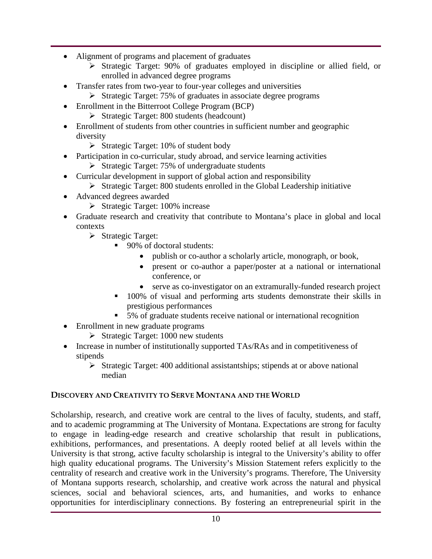- Alignment of programs and placement of graduates
	- Strategic Target: 90% of graduates employed in discipline or allied field, or enrolled in advanced degree programs
- Transfer rates from two-year to four-year colleges and universities
	- $\triangleright$  Strategic Target: 75% of graduates in associate degree programs
- Enrollment in the Bitterroot College Program (BCP)
	- $\triangleright$  Strategic Target: 800 students (headcount)
- Enrollment of students from other countries in sufficient number and geographic diversity
	- $\triangleright$  Strategic Target: 10% of student body
- Participation in co-curricular, study abroad, and service learning activities
	- $\triangleright$  Strategic Target: 75% of undergraduate students
- Curricular development in support of global action and responsibility
	- $\triangleright$  Strategic Target: 800 students enrolled in the Global Leadership initiative
- Advanced degrees awarded
	- $\triangleright$  Strategic Target: 100% increase
- Graduate research and creativity that contribute to Montana's place in global and local contexts
	- $\triangleright$  Strategic Target:
		- 90% of doctoral students:
			- publish or co-author a scholarly article, monograph, or book,
			- present or co-author a paper/poster at a national or international conference, or
			- serve as co-investigator on an extramurally-funded research project
		- 100% of visual and performing arts students demonstrate their skills in prestigious performances
		- 5% of graduate students receive national or international recognition
- Enrollment in new graduate programs
	- $\triangleright$  Strategic Target: 1000 new students
- Increase in number of institutionally supported TAs/RAs and in competitiveness of stipends
	- $\triangleright$  Strategic Target: 400 additional assistantships; stipends at or above national median

## **DISCOVERY AND CREATIVITY TO SERVE MONTANA AND THE WORLD**

Scholarship, research, and creative work are central to the lives of faculty, students, and staff, and to academic programming at The University of Montana. Expectations are strong for faculty to engage in leading-edge research and creative scholarship that result in publications, exhibitions, performances, and presentations. A deeply rooted belief at all levels within the University is that strong, active faculty scholarship is integral to the University's ability to offer high quality educational programs. The University's Mission Statement refers explicitly to the centrality of research and creative work in the University's programs. Therefore, The University of Montana supports research, scholarship, and creative work across the natural and physical sciences, social and behavioral sciences, arts, and humanities, and works to enhance opportunities for interdisciplinary connections. By fostering an entrepreneurial spirit in the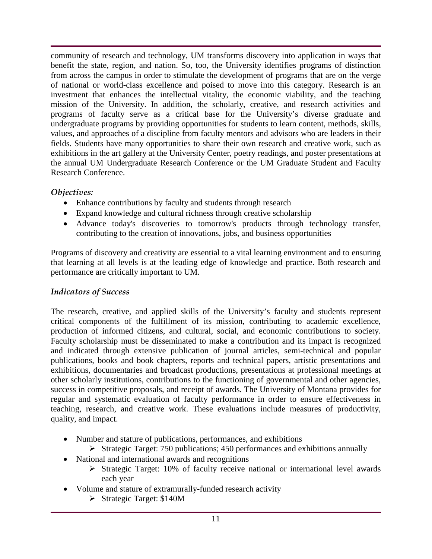community of research and technology, UM transforms discovery into application in ways that benefit the state, region, and nation. So, too, the University identifies programs of distinction from across the campus in order to stimulate the development of programs that are on the verge of national or world-class excellence and poised to move into this category. Research is an investment that enhances the intellectual vitality, the economic viability, and the teaching mission of the University. In addition, the scholarly, creative, and research activities and programs of faculty serve as a critical base for the University's diverse graduate and undergraduate programs by providing opportunities for students to learn content, methods, skills, values, and approaches of a discipline from faculty mentors and advisors who are leaders in their fields. Students have many opportunities to share their own research and creative work, such as exhibitions in the art gallery at the University Center, poetry readings, and poster presentations at the annual UM Undergraduate Research Conference or the UM Graduate Student and Faculty Research Conference.

## *Objectives:*

- Enhance contributions by faculty and students through research
- Expand knowledge and cultural richness through creative scholarship
- Advance today's discoveries to tomorrow's products through technology transfer, contributing to the creation of innovations, jobs, and business opportunities

Programs of discovery and creativity are essential to a vital learning environment and to ensuring that learning at all levels is at the leading edge of knowledge and practice. Both research and performance are critically important to UM.

## *Indicators of Success*

The research, creative, and applied skills of the University's faculty and students represent critical components of the fulfillment of its mission, contributing to academic excellence, production of informed citizens, and cultural, social, and economic contributions to society. Faculty scholarship must be disseminated to make a contribution and its impact is recognized and indicated through extensive publication of journal articles, semi-technical and popular publications, books and book chapters, reports and technical papers, artistic presentations and exhibitions, documentaries and broadcast productions, presentations at professional meetings at other scholarly institutions, contributions to the functioning of governmental and other agencies, success in competitive proposals, and receipt of awards. The University of Montana provides for regular and systematic evaluation of faculty performance in order to ensure effectiveness in teaching, research, and creative work. These evaluations include measures of productivity, quality, and impact.

- Number and stature of publications, performances, and exhibitions
	- $\triangleright$  Strategic Target: 750 publications; 450 performances and exhibitions annually
- National and international awards and recognitions
	- $\triangleright$  Strategic Target: 10% of faculty receive national or international level awards each year
- Volume and stature of extramurally-funded research activity
	- $\triangleright$  Strategic Target: \$140M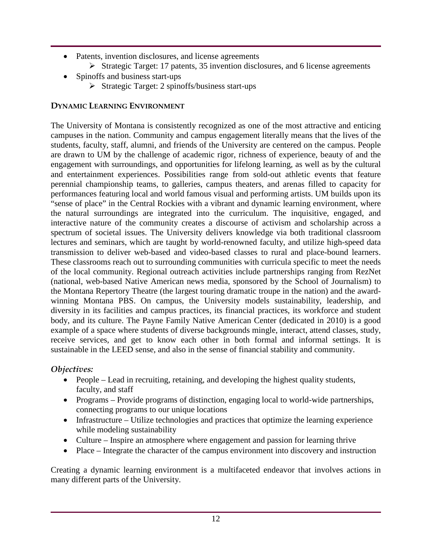- Patents, invention disclosures, and license agreements
	- $\triangleright$  Strategic Target: 17 patents, 35 invention disclosures, and 6 license agreements
- Spinoffs and business start-ups
	- $\triangleright$  Strategic Target: 2 spinoffs/business start-ups

# **DYNAMIC LEARNING ENVIRONMENT**

The University of Montana is consistently recognized as one of the most attractive and enticing campuses in the nation. Community and campus engagement literally means that the lives of the students, faculty, staff, alumni, and friends of the University are centered on the campus. People are drawn to UM by the challenge of academic rigor, richness of experience, beauty of and the engagement with surroundings, and opportunities for lifelong learning, as well as by the cultural and entertainment experiences. Possibilities range from sold-out athletic events that feature perennial championship teams, to galleries, campus theaters, and arenas filled to capacity for performances featuring local and world famous visual and performing artists. UM builds upon its "sense of place" in the Central Rockies with a vibrant and dynamic learning environment, where the natural surroundings are integrated into the curriculum. The inquisitive, engaged, and interactive nature of the community creates a discourse of activism and scholarship across a spectrum of societal issues. The University delivers knowledge via both traditional classroom lectures and seminars, which are taught by world-renowned faculty, and utilize high-speed data transmission to deliver web-based and video-based classes to rural and place-bound learners. These classrooms reach out to surrounding communities with curricula specific to meet the needs of the local community. Regional outreach activities include partnerships ranging from RezNet (national, web-based Native American news media, sponsored by the School of Journalism) to the Montana Repertory Theatre (the largest touring dramatic troupe in the nation) and the awardwinning Montana PBS. On campus, the University models sustainability, leadership, and diversity in its facilities and campus practices, its financial practices, its workforce and student body, and its culture. The Payne Family Native American Center (dedicated in 2010) is a good example of a space where students of diverse backgrounds mingle, interact, attend classes, study, receive services, and get to know each other in both formal and informal settings. It is sustainable in the LEED sense, and also in the sense of financial stability and community.

# *Objectives:*

- People Lead in recruiting, retaining, and developing the highest quality students, faculty, and staff
- Programs Provide programs of distinction, engaging local to world-wide partnerships, connecting programs to our unique locations
- Infrastructure Utilize technologies and practices that optimize the learning experience while modeling sustainability
- Culture Inspire an atmosphere where engagement and passion for learning thrive
- Place Integrate the character of the campus environment into discovery and instruction

Creating a dynamic learning environment is a multifaceted endeavor that involves actions in many different parts of the University.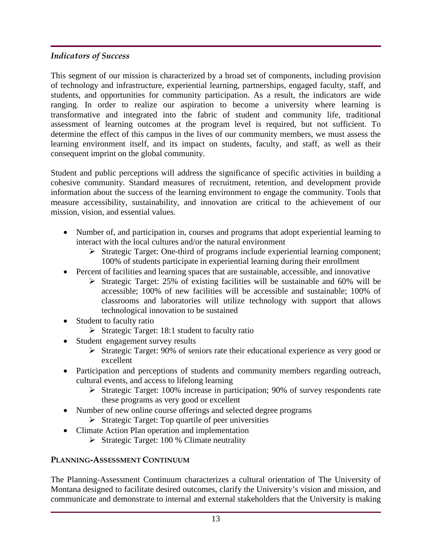# *Indicators of Success*

This segment of our mission is characterized by a broad set of components, including provision of technology and infrastructure, experiential learning, partnerships, engaged faculty, staff, and students, and opportunities for community participation. As a result, the indicators are wide ranging. In order to realize our aspiration to become a university where learning is transformative and integrated into the fabric of student and community life, traditional assessment of learning outcomes at the program level is required, but not sufficient. To determine the effect of this campus in the lives of our community members, we must assess the learning environment itself, and its impact on students, faculty, and staff, as well as their consequent imprint on the global community.

Student and public perceptions will address the significance of specific activities in building a cohesive community. Standard measures of recruitment, retention, and development provide information about the success of the learning environment to engage the community. Tools that measure accessibility, sustainability, and innovation are critical to the achievement of our mission, vision, and essential values.

- Number of, and participation in, courses and programs that adopt experiential learning to interact with the local cultures and/or the natural environment
	- $\triangleright$  Strategic Target: One-third of programs include experiential learning component; 100% of students participate in experiential learning during their enrollment
- Percent of facilities and learning spaces that are sustainable, accessible, and innovative
	- Strategic Target: 25% of existing facilities will be sustainable and 60% will be accessible; 100% of new facilities will be accessible and sustainable; 100% of classrooms and laboratories will utilize technology with support that allows technological innovation to be sustained
- Student to faculty ratio
	- $\triangleright$  Strategic Target: 18:1 student to faculty ratio
- Student engagement survey results
	- Strategic Target: 90% of seniors rate their educational experience as very good or excellent
- Participation and perceptions of students and community members regarding outreach, cultural events, and access to lifelong learning
	- $\triangleright$  Strategic Target: 100% increase in participation; 90% of survey respondents rate these programs as very good or excellent
- Number of new online course offerings and selected degree programs
	- $\triangleright$  Strategic Target: Top quartile of peer universities
- Climate Action Plan operation and implementation
	- $\triangleright$  Strategic Target: 100 % Climate neutrality

# **PLANNING-ASSESSMENT CONTINUUM**

The Planning-Assessment Continuum characterizes a cultural orientation of The University of Montana designed to facilitate desired outcomes, clarify the University's vision and mission, and communicate and demonstrate to internal and external stakeholders that the University is making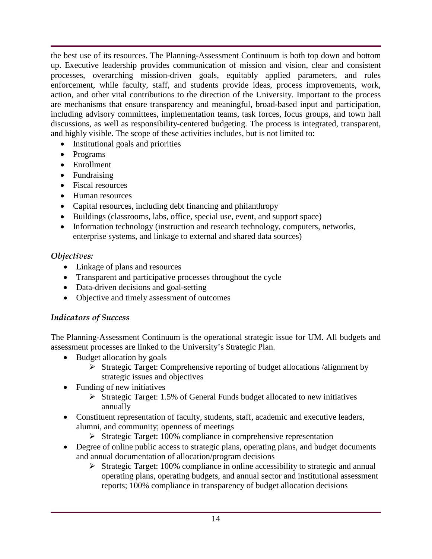the best use of its resources. The Planning-Assessment Continuum is both top down and bottom up. Executive leadership provides communication of mission and vision, clear and consistent processes, overarching mission-driven goals, equitably applied parameters, and rules enforcement, while faculty, staff, and students provide ideas, process improvements, work, action, and other vital contributions to the direction of the University. Important to the process are mechanisms that ensure transparency and meaningful, broad-based input and participation, including advisory committees, implementation teams, task forces, focus groups, and town hall discussions, as well as responsibility-centered budgeting. The process is integrated, transparent, and highly visible. The scope of these activities includes, but is not limited to:

- Institutional goals and priorities
- Programs
- Enrollment
- Fundraising
- Fiscal resources
- Human resources
- Capital resources, including debt financing and philanthropy
- Buildings (classrooms, labs, office, special use, event, and support space)
- Information technology (instruction and research technology, computers, networks, enterprise systems, and linkage to external and shared data sources)

## *Objectives:*

- Linkage of plans and resources
- Transparent and participative processes throughout the cycle
- Data-driven decisions and goal-setting
- Objective and timely assessment of outcomes

# *Indicators of Success*

The Planning-Assessment Continuum is the operational strategic issue for UM. All budgets and assessment processes are linked to the University's Strategic Plan.

- Budget allocation by goals
	- Strategic Target: Comprehensive reporting of budget allocations /alignment by strategic issues and objectives
- Funding of new initiatives
	- $\triangleright$  Strategic Target: 1.5% of General Funds budget allocated to new initiatives annually
- Constituent representation of faculty, students, staff, academic and executive leaders, alumni, and community; openness of meetings
	- $\triangleright$  Strategic Target: 100% compliance in comprehensive representation
- Degree of online public access to strategic plans, operating plans, and budget documents and annual documentation of allocation/program decisions
	- $\triangleright$  Strategic Target: 100% compliance in online accessibility to strategic and annual operating plans, operating budgets, and annual sector and institutional assessment reports; 100% compliance in transparency of budget allocation decisions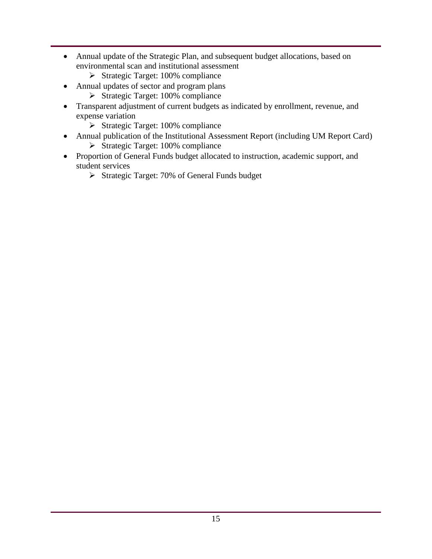- Annual update of the Strategic Plan, and subsequent budget allocations, based on environmental scan and institutional assessment
	- $\triangleright$  Strategic Target: 100% compliance
- Annual updates of sector and program plans
	- $\triangleright$  Strategic Target: 100% compliance
- Transparent adjustment of current budgets as indicated by enrollment, revenue, and expense variation
	- $\triangleright$  Strategic Target: 100% compliance
- Annual publication of the Institutional Assessment Report (including UM Report Card)
	- $\triangleright$  Strategic Target: 100% compliance
- Proportion of General Funds budget allocated to instruction, academic support, and student services
	- $\triangleright$  Strategic Target: 70% of General Funds budget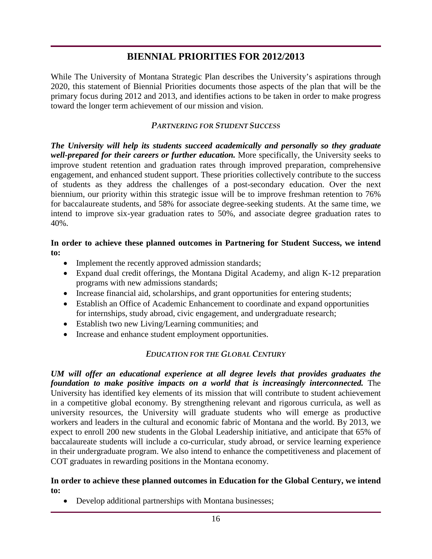# **BIENNIAL PRIORITIES FOR 2012/2013**

While The University of Montana Strategic Plan describes the University's aspirations through 2020, this statement of Biennial Priorities documents those aspects of the plan that will be the primary focus during 2012 and 2013, and identifies actions to be taken in order to make progress toward the longer term achievement of our mission and vision.

#### *PARTNERING FOR STUDENT SUCCESS*

*The University will help its students succeed academically and personally so they graduate well-prepared for their careers or further education.* More specifically, the University seeks to improve student retention and graduation rates through improved preparation, comprehensive engagement, and enhanced student support. These priorities collectively contribute to the success of students as they address the challenges of a post-secondary education. Over the next biennium, our priority within this strategic issue will be to improve freshman retention to 76% for baccalaureate students, and 58% for associate degree-seeking students. At the same time, we intend to improve six-year graduation rates to 50%, and associate degree graduation rates to 40%.

#### **In order to achieve these planned outcomes in Partnering for Student Success, we intend to:**

- Implement the recently approved admission standards;
- Expand dual credit offerings, the Montana Digital Academy, and align K-12 preparation programs with new admissions standards;
- Increase financial aid, scholarships, and grant opportunities for entering students;
- Establish an Office of Academic Enhancement to coordinate and expand opportunities for internships, study abroad, civic engagement, and undergraduate research;
- Establish two new Living/Learning communities; and
- Increase and enhance student employment opportunities.

## *EDUCATION FOR THE GLOBAL CENTURY*

*UM will offer an educational experience at all degree levels that provides graduates the foundation to make positive impacts on a world that is increasingly interconnected.* The University has identified key elements of its mission that will contribute to student achievement in a competitive global economy. By strengthening relevant and rigorous curricula, as well as university resources, the University will graduate students who will emerge as productive workers and leaders in the cultural and economic fabric of Montana and the world. By 2013, we expect to enroll 200 new students in the Global Leadership initiative, and anticipate that 65% of baccalaureate students will include a co-curricular, study abroad, or service learning experience in their undergraduate program. We also intend to enhance the competitiveness and placement of COT graduates in rewarding positions in the Montana economy.

#### **In order to achieve these planned outcomes in Education for the Global Century, we intend to:**

• Develop additional partnerships with Montana businesses;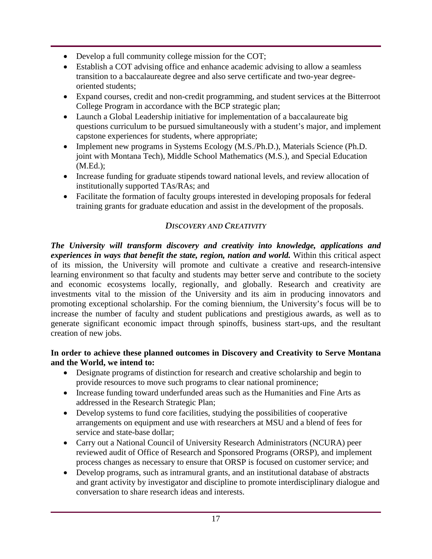- Develop a full community college mission for the COT;
- Establish a COT advising office and enhance academic advising to allow a seamless transition to a baccalaureate degree and also serve certificate and two-year degreeoriented students;
- Expand courses, credit and non-credit programming, and student services at the Bitterroot College Program in accordance with the BCP strategic plan;
- Launch a Global Leadership initiative for implementation of a baccalaureate big questions curriculum to be pursued simultaneously with a student's major, and implement capstone experiences for students, where appropriate;
- Implement new programs in Systems Ecology (M.S./Ph.D.), Materials Science (Ph.D. joint with Montana Tech), Middle School Mathematics (M.S.), and Special Education (M.Ed.);
- Increase funding for graduate stipends toward national levels, and review allocation of institutionally supported TAs/RAs; and
- Facilitate the formation of faculty groups interested in developing proposals for federal training grants for graduate education and assist in the development of the proposals.

## *DISCOVERY AND CREATIVITY*

*The University will transform discovery and creativity into knowledge, applications and experiences in ways that benefit the state, region, nation and world.* Within this critical aspect of its mission, the University will promote and cultivate a creative and research-intensive learning environment so that faculty and students may better serve and contribute to the society and economic ecosystems locally, regionally, and globally. Research and creativity are investments vital to the mission of the University and its aim in producing innovators and promoting exceptional scholarship. For the coming biennium, the University's focus will be to increase the number of faculty and student publications and prestigious awards, as well as to generate significant economic impact through spinoffs, business start-ups, and the resultant creation of new jobs.

#### **In order to achieve these planned outcomes in Discovery and Creativity to Serve Montana and the World, we intend to:**

- Designate programs of distinction for research and creative scholarship and begin to provide resources to move such programs to clear national prominence;
- Increase funding toward underfunded areas such as the Humanities and Fine Arts as addressed in the Research Strategic Plan;
- Develop systems to fund core facilities, studying the possibilities of cooperative arrangements on equipment and use with researchers at MSU and a blend of fees for service and state-base dollar:
- Carry out a National Council of University Research Administrators (NCURA) peer reviewed audit of Office of Research and Sponsored Programs (ORSP), and implement process changes as necessary to ensure that ORSP is focused on customer service; and
- Develop programs, such as intramural grants, and an institutional database of abstracts and grant activity by investigator and discipline to promote interdisciplinary dialogue and conversation to share research ideas and interests.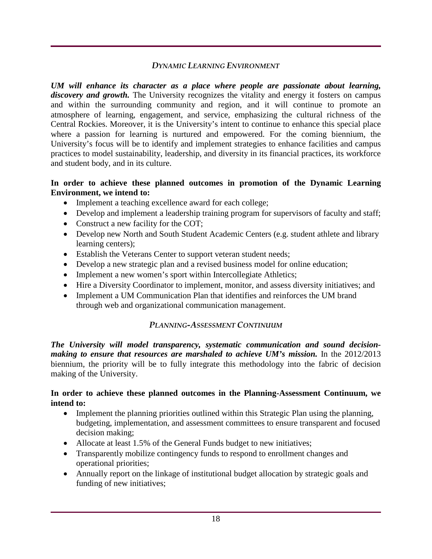#### *DYNAMIC LEARNING ENVIRONMENT*

*UM will enhance its character as a place where people are passionate about learning,*  discovery and growth. The University recognizes the vitality and energy it fosters on campus and within the surrounding community and region, and it will continue to promote an atmosphere of learning, engagement, and service, emphasizing the cultural richness of the Central Rockies. Moreover, it is the University's intent to continue to enhance this special place where a passion for learning is nurtured and empowered. For the coming biennium, the University's focus will be to identify and implement strategies to enhance facilities and campus practices to model sustainability, leadership, and diversity in its financial practices, its workforce and student body, and in its culture.

#### **In order to achieve these planned outcomes in promotion of the Dynamic Learning Environment, we intend to:**

- Implement a teaching excellence award for each college;
- Develop and implement a leadership training program for supervisors of faculty and staff;
- Construct a new facility for the COT;
- Develop new North and South Student Academic Centers (e.g. student athlete and library learning centers);
- Establish the Veterans Center to support veteran student needs;
- Develop a new strategic plan and a revised business model for online education;
- Implement a new women's sport within Intercollegiate Athletics;
- Hire a Diversity Coordinator to implement, monitor, and assess diversity initiatives; and
- Implement a UM Communication Plan that identifies and reinforces the UM brand through web and organizational communication management.

## *PLANNING-ASSESSMENT CONTINUUM*

*The University will model transparency, systematic communication and sound decisionmaking to ensure that resources are marshaled to achieve UM's mission.* In the 2012/2013 biennium, the priority will be to fully integrate this methodology into the fabric of decision making of the University.

#### **In order to achieve these planned outcomes in the Planning-Assessment Continuum, we intend to:**

- Implement the planning priorities outlined within this Strategic Plan using the planning, budgeting, implementation, and assessment committees to ensure transparent and focused decision making;
- Allocate at least 1.5% of the General Funds budget to new initiatives;
- Transparently mobilize contingency funds to respond to enrollment changes and operational priorities;
- Annually report on the linkage of institutional budget allocation by strategic goals and funding of new initiatives;